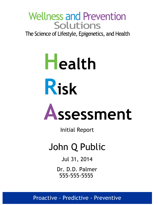## **Wellness and Prevention Solutions**

The Science of Lifestyle, Epigenetics, and Health

# **Health Risk**

# **Assessment**

Initial Report

# John Q Public

Jul 31, 2014

Dr. D.D. Palmer 555-555-5555

Proactive - Predictive - Preventive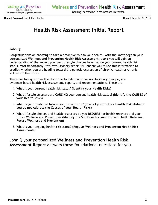**Report Prepared For:** John Q Public **Report Date:** Jul 31, 2014

### **Health Risk Assessment Initial Report**

#### **John Q:**

Congratulations on choosing to take a proactive role in your health. With the knowledge in your personalized **Wellness and Prevention Health Risk Assessment** report you will gain an understanding of the impact your past lifestyle choices have had on your current health risk status. Most importantly, this revolutionary report will enable you to use this information to predict whether you are heading toward the genetic expression of chronic health or chronic sickness in the future.

There are five questions that form the foundation of our revolutionary, unique, and evidence-based health risk assessment, report, and recommendations. These are:

- 1. What is your current health risk status? **(Identify your Health Risks)**
- What lifestyle stressors are **CAUSING** your current health risk status? **(Identify the CAUSES of** 2. **your Health Risks)**
- What is your predicted future health risk status? **(Predict your Future Health Risk Status if** 3. **you do not Address the Causes of your Health Risks)**
- What lifestyle choices and health resources do you **REQUIRE** for health recovery and your 4. future Wellness and Prevention? **(Identify the Solutions for your current Health Risks and Future Wellness and Prevention)**
- What is your ongoing health risk status? **(Regular Wellness and Prevention Health Risk** 5. **Assessments)**

John Q your personalized **Wellness and Prevention Health Risk Assessment Report** answers these foundational questions for you.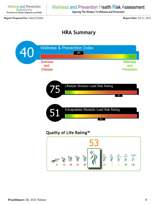**Wellness and Prevention** Solutions The Science of Lifestyle, Epigenetics, and Health

#### **Wellness and Prevention Health Risk Assessment**

Opening The Window To Wellness and Prevention

**Report Prepared For:** John Q Public **Report Date:** Jul 31, 2014

### **HRA Summary**

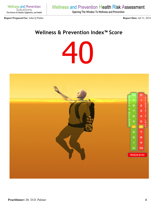**Wellness and Prevention** Solutions The Science of Lifestyle, Epigenetics, and Health

#### **Report Prepared For:** John Q Public **Report Date:** Jul 31, 2014

**Wellness and Prevention Health Risk Assessment** 

Opening The Window To Wellness and Prevention

#### **Wellness & Prevention Index™ Score**

40

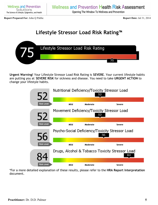Opening The Window To Wellness and Prevention

**Report Prepared For:** John Q Public **Report Date:** Jul 31, 2014

### **Lifestyle Stressor Load Risk Rating™**



**Urgent Warning!** Your Lifestyle Stressor Load Risk Rating is **SEVERE**. Your current lifestyle habits are putting you at **SEVERE RISK** for sickness and disease. You need to take **URGENT ACTION** to change your lifestyle habits.

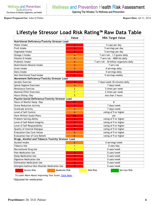Opening The Window To Wellness and Prevention

**Report Prepared For:** John Q Public **Report Date:** Jul 31, 2014

### **Lifestyle Stressor Load Risk Rating™ Raw Data Table**

|                                                   |               | Value          | <b>HRA Target Value</b>                |                              |  |  |
|---------------------------------------------------|---------------|----------------|----------------------------------------|------------------------------|--|--|
| Nutritional Deficiency/Toxicity Stressor Load     |               |                |                                        |                              |  |  |
| Water Intake                                      |               | $\overline{2}$ |                                        | 5 cups per day               |  |  |
| <b>Fruit Intake</b>                               |               | $\overline{2}$ | 5 servings per day                     |                              |  |  |
| Vegetable Intake                                  |               | $\overline{2}$ | 5 servings per day                     |                              |  |  |
| Omega-3 Intake                                    |               | 4              | 7 serv/wk - 1.5 grams daily            |                              |  |  |
| Vitamin D Intake                                  |               | 4              | 7 serv/wk - 4000 IUs daily             |                              |  |  |
| Probiotic Intake                                  |               | 4              | 7 serv/wk - 30 billion organisms daily |                              |  |  |
| Multivitamin-Mineral Intake                       |               | 4              | 7 serv/wk                              |                              |  |  |
| Grain Intake                                      |               | 2              | 0 servings daily                       |                              |  |  |
| Dairy Intake                                      |               | 3              | 0 servings daily                       |                              |  |  |
| Non-Nutritional Food Intake                       |               | 5              | 0 servings weekly                      |                              |  |  |
| Movement Deficiency/Toxicity Stressor Load        |               |                |                                        |                              |  |  |
| Aerobic Exercise                                  |               | 3              |                                        | 7 days/week 30 minutes daily |  |  |
| Spinal Hygiene Exercises                          |               | 4              | 7 days/week                            |                              |  |  |
| <b>Resistance Exercise</b>                        |               | $\overline{2}$ | 3 times per week                       |                              |  |  |
| <b>Maximal Effort Exercises</b>                   |               | 1              | 2 times per week                       |                              |  |  |
| Hours Sitting / Day                               |               | 5              | less than 3 hours                      |                              |  |  |
| Psycho-Social Deficiency/Toxicity Stressor Load   |               |                |                                        |                              |  |  |
| Hours of Restful Sleep / Day                      |               | $4^*$          |                                        | 8                            |  |  |
| <b>Stress Reduction Activity</b>                  |               | 3              | 7 days/week                            |                              |  |  |
| <b>Gratitude Activity</b>                         |               | 4              | 7 days/week                            |                              |  |  |
| Level of Self Control                             |               | 6              | rating of 9 or higher                  |                              |  |  |
| Have Written Goals/Plans                          |               | <b>No</b>      |                                        | yes                          |  |  |
| Problem Solving Ability                           |               | 5              | rating of 9 or higher                  |                              |  |  |
| Level of Self-Rated Integrity                     |               |                | rating of 9 or higher                  |                              |  |  |
| Level of Self-Responsibility                      |               | 5              | rating of 9 or higher                  |                              |  |  |
| Quality of Internal Dialogue                      |               | 5              | rating of 9 or higher                  |                              |  |  |
| <b>Evaluation/Use Core Values</b>                 |               | 6              | rating of 9 or higher                  |                              |  |  |
| Evaluation/Use of Core Beliefs                    |               | 6              | rating of 9 or higher                  |                              |  |  |
| Drugs, Alcohol and Tobacco Toxicity Stressor Load |               |                |                                        |                              |  |  |
| Alcohol Intake                                    |               | 2              | 0 servings/week                        |                              |  |  |
| <b>Tobacco Use</b>                                |               | 1              | 0 uses/day                             |                              |  |  |
| Recreational Drug Use                             |               | $\mathbf{1}$   | 0 uses/week                            |                              |  |  |
| Pain Medication Use                               |               | 4              | 0 uses/week                            |                              |  |  |
| <b>Sleep Medication Use</b>                       |               | 4              | 0 uses/week                            |                              |  |  |
| Digestive Medication Use                          |               | 4              | 0 uses/week                            |                              |  |  |
| <b>Elimination Medication Use</b>                 |               | 5.             | 0 uses/week                            |                              |  |  |
| Allergies/Asthma/Skin Disorder Medication Use     | 5             |                | 0 uses/week                            |                              |  |  |
| Severe Risk                                       | Moderate Risk |                | Mild Risk                              | No/Low Risk                  |  |  |

To Learn More About Improving Your Score, [Click Here](https://www.wellnessandprevention.com/patient/hra/default.cfm?intCurrentTab=10).

\*Adjusted for medication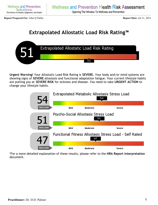**Report Prepared For:** John Q Public **Report Date:** Jul 31, 2014

### **Extrapolated Allostatic Load Risk Rating™**



**Urgent Warning!** Your Allostatic Load Risk Rating is **SEVERE.** Your body and/or mind systems are showing signs of **SEVERE** allostasis and functional adaptation fatigue. Your current lifestyle habits are putting you at **SEVERE RISK** for sickness and disease. You need to take **URGENT ACTION** to change your lifestyle habits.

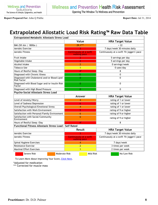**Report Prepared For:** John Q Public **Report Date:** Jul 31, 2014

#### **Extrapolated Allostatic Load Risk Rating™ Raw Data Table**

| <b>Extrapolated Metabolic Allostasis Stress Load</b>          |                      |                                                |                                             |  |  |  |
|---------------------------------------------------------------|----------------------|------------------------------------------------|---------------------------------------------|--|--|--|
|                                                               |                      | Value                                          | <b>HRA Target Value</b>                     |  |  |  |
| BMI (5ft 6in   180lbs)                                        |                      | $29.1***$                                      | < 22                                        |  |  |  |
| Aerobic Exercise                                              |                      |                                                | 7 days/week 30 minutes daily                |  |  |  |
| <b>Aerobic Fitness</b>                                        |                      | <b>Continuously at a swift</b><br>walking pace | Continuously at a swift 'fit jogger's' pace |  |  |  |
| <b>Fruit Intake</b>                                           |                      |                                                | 5 servings per day                          |  |  |  |
| Vegetable Intake                                              |                      | $\overline{2}$                                 | 5 servings per day                          |  |  |  |
| Alcohol Intake                                                |                      | $\overline{2}$                                 | 0 servings/week                             |  |  |  |
| <b>Tobacco Use</b>                                            |                      | 1                                              | 0 uses/day                                  |  |  |  |
| Hours of Restful Sleep / Day                                  |                      | $4^*$                                          | 8                                           |  |  |  |
| Diagnosed with Chronic Illness                                |                      | 0                                              | 0                                           |  |  |  |
| Diagnosed with Cholesterol and/or Blood Lipid<br>Risk Factor  |                      | 0                                              | 0                                           |  |  |  |
| Diagnosed with Blood Sugar and/or Insulin Risk<br>Factor      |                      | $\mathbf{0}$                                   | 0                                           |  |  |  |
| Diagnosed with High Blood Pressure                            |                      | $\mathbf{0}$                                   | $\Omega$                                    |  |  |  |
| Psycho-Social Allostasis Stress Load                          |                      |                                                |                                             |  |  |  |
|                                                               |                      | Answer                                         | <b>HRA Target Value</b>                     |  |  |  |
| Level of Anxiety/Worry                                        |                      | 4                                              | rating of 1 or lower                        |  |  |  |
| Level of Sadness/Depression                                   |                      | 6                                              | rating of 1 or lower                        |  |  |  |
| Overall Psychological/Emotional Stress                        |                      | 4                                              | rating of 1 or lower                        |  |  |  |
| Satisfaction with Work Environment                            |                      | 5                                              | rating of 9 or higher                       |  |  |  |
| Satisfaction with Personal/Family Environment                 |                      | 6                                              | rating of 9 or higher                       |  |  |  |
| Satisfaction with Social/Community<br>Environment             |                      | 6                                              | rating of 9 or higher                       |  |  |  |
| Hours of Restful Sleep / Day                                  |                      | $4^*$                                          | 8                                           |  |  |  |
| <b>Functional Fitness Allostasis Stress Load - Self Rated</b> |                      |                                                |                                             |  |  |  |
|                                                               |                      | <b>Result</b>                                  | <b>HRA Target Value</b>                     |  |  |  |
| Aerobic Exercise                                              |                      |                                                | 7 days/week 30 minutes daily                |  |  |  |
| Aerobic Fitness                                               |                      | <b>Continuously at a swift</b><br>walking pace | Continuously at a swift 'fit jogger's' pace |  |  |  |
| Spinal Hygiene Exercises                                      |                      | 4                                              | 7 days/week                                 |  |  |  |
| <b>Resistance Exercise</b>                                    |                      | $\overline{2}$                                 | 3 times per week                            |  |  |  |
| <b>Maximal Effort Exercises</b>                               |                      | 1                                              | 2 times per week                            |  |  |  |
| Severe Risk                                                   | <b>Moderate Risk</b> | Mild Risk                                      | No/Low Risk                                 |  |  |  |

To Learn More About Improving Your Score, [Click Here](https://www.wellnessandprevention.com/patient/hra/default.cfm?intCurrentTab=10).

\*Adjusted for medication

\*\*\* Corrected for muscle mass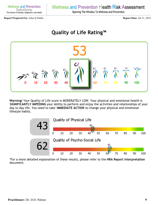Opening The Window To Wellness and Prevention

**Report Prepared For:** John Q Public **Report Date:** Jul 31, 2014

#### **Quality of Life Rating™**



**Warning!** Your Quality of Life score is MODERATELY LOW. Your physical and emotional health is **SIGNIFICANTLY IMPEDING** your ability to perform and enjoy the activities and relationships of your day to day life. You need to take **IMMEDIATE ACTION** to change your physical and emotional lifestyle habits.

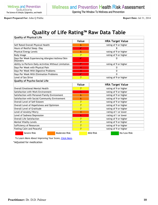Opening The Window To Wellness and Prevention

**Report Prepared For:** John Q Public **Report Date:** Jul 31, 2014

## **Quality of Life Rating™ Raw Data Table**

| <b>Quality of Physical Life</b>                                      |                |                          |  |  |  |  |
|----------------------------------------------------------------------|----------------|--------------------------|--|--|--|--|
|                                                                      | Value          | <b>HRA Target Value</b>  |  |  |  |  |
| Self Rated Overall Physical Health                                   | 6              | rating of 9 or higher    |  |  |  |  |
| Hours of Restful Sleep / Day                                         | $4^*$          |                          |  |  |  |  |
| <b>Physical Energy Levels</b>                                        | 6              | rating of 9 or higher    |  |  |  |  |
| <b>Body Image</b>                                                    | 7              | rating of 9 or higher    |  |  |  |  |
| Days Per Week Experiencing Allergies/Asthma/Skin<br><b>Disorders</b> | $4^*$          | ი                        |  |  |  |  |
| Ability to Perform Daily Activities Without Limitation               | $7^*$          | rating of 9 or higher    |  |  |  |  |
| Days Per Week with Physical Pain                                     | 4              | 0                        |  |  |  |  |
| Days Per Week With Digestive Problems                                | 4              | 0                        |  |  |  |  |
| Days Per Week With Elimination Problems                              | $4^*$          | 0                        |  |  |  |  |
| Level of Sex Drive                                                   | 7              | rating of 9 or higher    |  |  |  |  |
| Quality of Psycho-Social Life                                        |                |                          |  |  |  |  |
|                                                                      | Value          | <b>HRA Target Value</b>  |  |  |  |  |
| <b>Overall Emotional/Mental Health</b>                               | 7              | rating of 9 or higher    |  |  |  |  |
| Satisfaction with Work Environment                                   | 5              | rating of 9 or higher    |  |  |  |  |
| Satisfaction with Personal/Family Environment                        | 6              | rating of 9 or higher    |  |  |  |  |
| Satisfaction with Social/Community Environment                       | 6              | rating of 9 or higher    |  |  |  |  |
| Overall Level of Self-Esteem                                         | $\overline{7}$ | rating of 9 or higher    |  |  |  |  |
| Overall Level of Hopefulness and Optimism                            | 7              | rating of 9 or higher    |  |  |  |  |
| Overall Level of Gratitude                                           | $\overline{7}$ | rating of 9 or higher    |  |  |  |  |
| Level of Anxiety/Worry                                               | 4              | rating of 1 or lower     |  |  |  |  |
| Level of Sadness/Depression                                          | 6              | rating of 1 or lower     |  |  |  |  |
| <b>Overall Life Satisfaction</b>                                     | $\overline{7}$ | rating of 9 or higher    |  |  |  |  |
| <b>Mental Vitality Levels</b>                                        | $\overline{7}$ | rating of 9 or higher    |  |  |  |  |
| Sufficiency of Resources                                             | $\overline{7}$ | rating of 9 or higher    |  |  |  |  |
| Feeling Calm and Peaceful                                            | $\overline{7}$ | rating of 9 or higher    |  |  |  |  |
| Severe Risk<br>Moderate Risk                                         |                | Mild Risk<br>No/Low Risk |  |  |  |  |

To Learn More About Improving Your Score, [Click Here](https://www.wellnessandprevention.com/patient/hra/default.cfm?intCurrentTab=10).

\*Adjusted for medication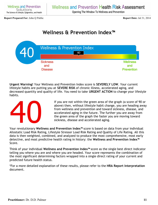Opening The Window To Wellness and Prevention

**Report Prepared For:** John Q Public **Report Date:** Jul 31, 2014

#### **Wellness & Prevention Index™**



**Urgent Warning!** Your Wellness and Prevention Index score is **SEVERELY LOW**. Your current lifestyle habits are putting you at **SEVERE RISK** of chronic illness, accelerated aging, and decreased quantity and quality of life. You need to take **URGENT ACTION** to change your lifestyle habits.



If you are not within the green area of the graph (a score of 90 or above) then, without lifestyle habit change, you are heading away from wellness and prevention and toward sickness, disease, and accelerated aging in the future. The further you are away from the green area of the graph the faster you are moving toward sickness, disease and accelerated aging.

Your revolutionary **Wellness and Prevention Index™** score is based on data from your individual Allostatic Load Risk Rating, Lifestyle Stressor Load Risk Rating and Quality of Life Rating. All this data is then weighted, combined, and analyzed to produce the most comprehensive, most early detective, and most predictive health rating in history: the **Wellness and Prevention Index™** Score.

Think of your individual **Wellness and Prevention Index™** score as the single best direct indicator telling you where you are and where you are headed. Your score represents the combination of the most significant determining factors wrapped into a single direct rating of your current and predicted future health status.